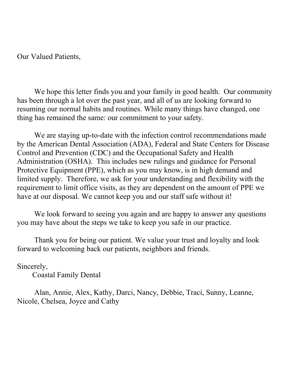Our Valued Patients,

We hope this letter finds you and your family in good health. Our community has been through a lot over the past year, and all of us are looking forward to resuming our normal habits and routines. While many things have changed, one thing has remained the same: our commitment to your safety.

We are staying up-to-date with the infection control recommendations made by the American Dental Association (ADA), Federal and State Centers for Disease Control and Prevention (CDC) and the Occupational Safety and Health Administration (OSHA). This includes new rulings and guidance for Personal Protective Equipment (PPE), which as you may know, is in high demand and limited supply. Therefore, we ask for your understanding and flexibility with the requirement to limit office visits, as they are dependent on the amount of PPE we have at our disposal. We cannot keep you and our staff safe without it!

We look forward to seeing you again and are happy to answer any questions you may have about the steps we take to keep you safe in our practice.

Thank you for being our patient. We value your trust and loyalty and look forward to welcoming back our patients, neighbors and friends.

## Sincerely,

Coastal Family Dental

 Alan, Annie, Alex, Kathy, Darci, Nancy, Debbie, Traci, Sunny, Leanne, Nicole, Chelsea, Joyce and Cathy